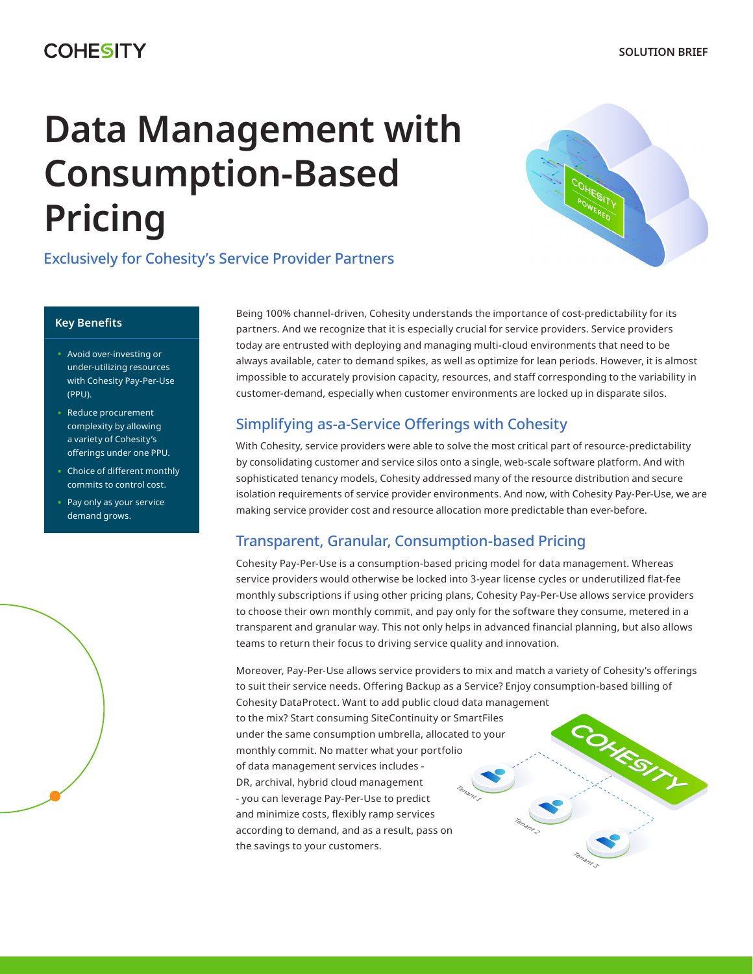## **COHESITY**

# **Data Management with Consumption-Based Pricing**



## Exclusively for Cohesity's Service Provider Partners

#### **Key Benefits**

- Avoid over-investing or under-utilizing resources with Cohesity Pay-Per-Use (PPU).
- Reduce procurement complexity by allowing a variety of Cohesity's offerings under one PPU.
- Choice of different monthly commits to control cost.
- Pay only as your service demand grows.

Being 100% channel-driven, Cohesity understands the importance of cost-predictability for its partners. And we recognize that it is especially crucial for service providers. Service providers today are entrusted with deploying and managing multi-cloud environments that need to be always available, cater to demand spikes, as well as optimize for lean periods. However, it is almost impossible to accurately provision capacity, resources, and staff corresponding to the variability in customer-demand, especially when customer environments are locked up in disparate silos.

## Simplifying as-a-Service Offerings with Cohesity

With Cohesity, service providers were able to solve the most critical part of resource-predictability by consolidating customer and service silos onto a single, web-scale software platform. And with sophisticated tenancy models, Cohesity addressed many of the resource distribution and secure isolation requirements of service provider environments. And now, with Cohesity Pay-Per-Use, we are making service provider cost and resource allocation more predictable than ever-before.

## Transparent, Granular, Consumption-based Pricing

Cohesity Pay-Per-Use is a consumption-based pricing model for data management. Whereas service providers would otherwise be locked into 3-year license cycles or underutilized flat-fee monthly subscriptions if using other pricing plans, Cohesity Pay-Per-Use allows service providers to choose their own monthly commit, and pay only for the software they consume, metered in a transparent and granular way. This not only helps in advanced financial planning, but also allows teams to return their focus to driving service quality and innovation.

Moreover, Pay-Per-Use allows service providers to mix and match a variety of Cohesity's offerings to suit their service needs. Offering Backup as a Service? Enjoy consumption-based billing of Cohesity DataProtect. Want to add public cloud data management to the mix? Start consuming SiteContinuity or SmartFiles COHEGIN under the same consumption umbrella, allocated to your monthly commit. No matter what your portfolio of data management services includes - DR, archival, hybrid cloud management - you can leverage Pay-Per-Use to predict and minimize costs, flexibly ramp services according to demand, and as a result, pass on the savings to your customers.